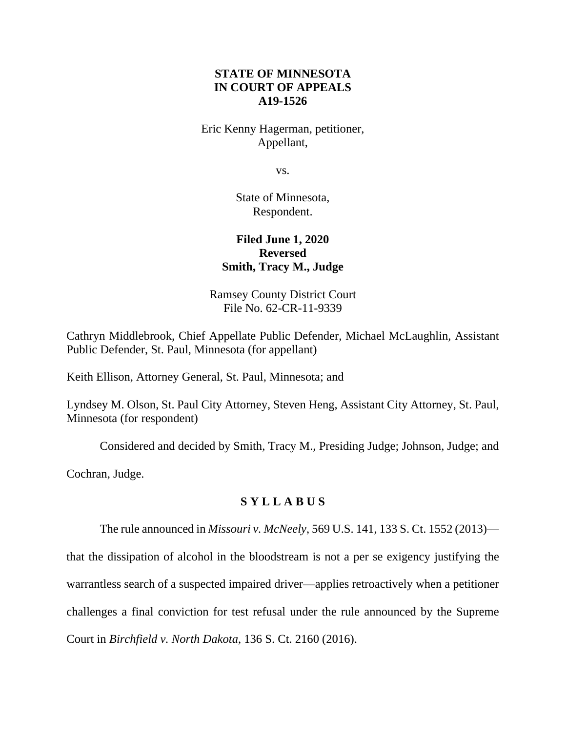## **STATE OF MINNESOTA IN COURT OF APPEALS A19-1526**

Eric Kenny Hagerman, petitioner, Appellant,

vs.

State of Minnesota, Respondent.

# **Filed June 1, 2020 Reversed Smith, Tracy M., Judge**

Ramsey County District Court File No. 62-CR-11-9339

Cathryn Middlebrook, Chief Appellate Public Defender, Michael McLaughlin, Assistant Public Defender, St. Paul, Minnesota (for appellant)

Keith Ellison, Attorney General, St. Paul, Minnesota; and

Lyndsey M. Olson, St. Paul City Attorney, Steven Heng, Assistant City Attorney, St. Paul, Minnesota (for respondent)

Considered and decided by Smith, Tracy M., Presiding Judge; Johnson, Judge; and

Cochran, Judge.

# **S Y L L A B U S**

The rule announced in *Missouri v. McNeely*, 569 U.S. 141, 133 S. Ct. 1552 (2013)—

that the dissipation of alcohol in the bloodstream is not a per se exigency justifying the warrantless search of a suspected impaired driver—applies retroactively when a petitioner challenges a final conviction for test refusal under the rule announced by the Supreme Court in *Birchfield v. North Dakota*, 136 S. Ct. 2160 (2016).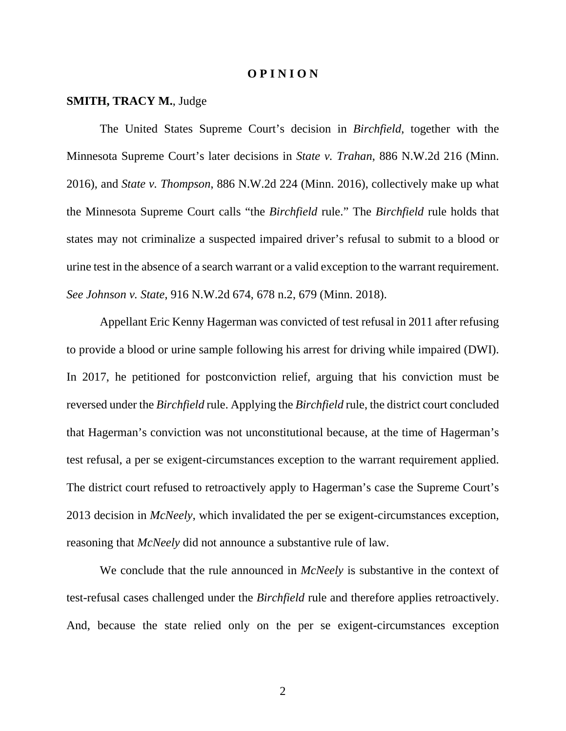#### **O P I N I O N**

#### **SMITH, TRACY M.**, Judge

 The United States Supreme Court's decision in *Birchfield*, together with the Minnesota Supreme Court's later decisions in *State v. Trahan*, 886 N.W.2d 216 (Minn. 2016), and *State v. Thompson*, 886 N.W.2d 224 (Minn. 2016), collectively make up what the Minnesota Supreme Court calls "the *Birchfield* rule." The *Birchfield* rule holds that states may not criminalize a suspected impaired driver's refusal to submit to a blood or urine test in the absence of a search warrant or a valid exception to the warrant requirement. *See Johnson v. State*, 916 N.W.2d 674, 678 n.2, 679 (Minn. 2018).

Appellant Eric Kenny Hagerman was convicted of test refusal in 2011 after refusing to provide a blood or urine sample following his arrest for driving while impaired (DWI). In 2017, he petitioned for postconviction relief, arguing that his conviction must be reversed under the *Birchfield* rule. Applying the *Birchfield* rule, the district court concluded that Hagerman's conviction was not unconstitutional because, at the time of Hagerman's test refusal, a per se exigent-circumstances exception to the warrant requirement applied. The district court refused to retroactively apply to Hagerman's case the Supreme Court's 2013 decision in *McNeely*, which invalidated the per se exigent-circumstances exception, reasoning that *McNeely* did not announce a substantive rule of law.

We conclude that the rule announced in *McNeely* is substantive in the context of test-refusal cases challenged under the *Birchfield* rule and therefore applies retroactively. And, because the state relied only on the per se exigent-circumstances exception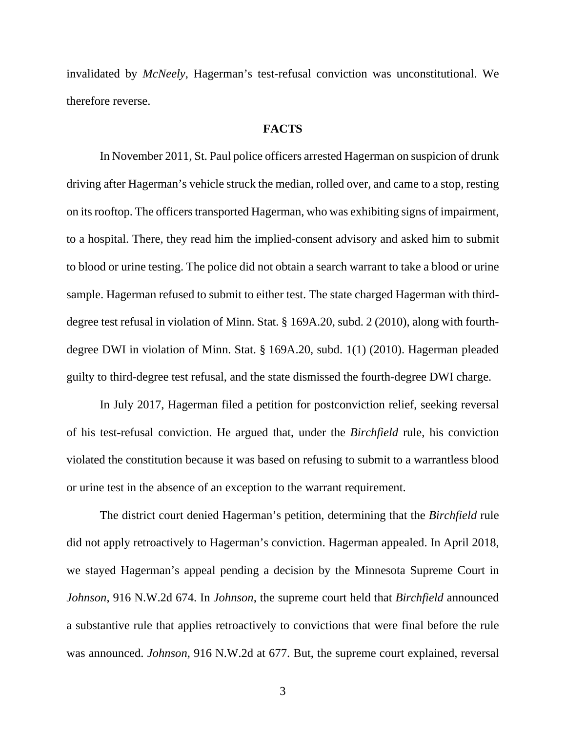invalidated by *McNeely*, Hagerman's test-refusal conviction was unconstitutional. We therefore reverse.

#### **FACTS**

 In November 2011, St. Paul police officers arrested Hagerman on suspicion of drunk driving after Hagerman's vehicle struck the median, rolled over, and came to a stop, resting on its rooftop. The officers transported Hagerman, who was exhibiting signs of impairment, to a hospital. There, they read him the implied-consent advisory and asked him to submit to blood or urine testing. The police did not obtain a search warrant to take a blood or urine sample. Hagerman refused to submit to either test. The state charged Hagerman with thirddegree test refusal in violation of Minn. Stat. § 169A.20, subd. 2 (2010), along with fourthdegree DWI in violation of Minn. Stat. § 169A.20, subd. 1(1) (2010). Hagerman pleaded guilty to third-degree test refusal, and the state dismissed the fourth-degree DWI charge.

 In July 2017, Hagerman filed a petition for postconviction relief, seeking reversal of his test-refusal conviction. He argued that, under the *Birchfield* rule, his conviction violated the constitution because it was based on refusing to submit to a warrantless blood or urine test in the absence of an exception to the warrant requirement.

 The district court denied Hagerman's petition, determining that the *Birchfield* rule did not apply retroactively to Hagerman's conviction. Hagerman appealed. In April 2018, we stayed Hagerman's appeal pending a decision by the Minnesota Supreme Court in *Johnson*, 916 N.W.2d 674. In *Johnson*, the supreme court held that *Birchfield* announced a substantive rule that applies retroactively to convictions that were final before the rule was announced. *Johnson*, 916 N.W.2d at 677. But, the supreme court explained, reversal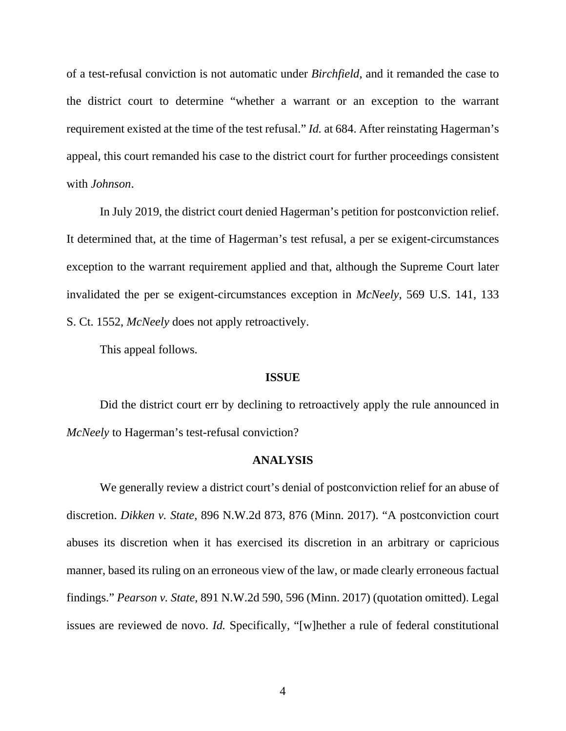of a test-refusal conviction is not automatic under *Birchfield*, and it remanded the case to the district court to determine "whether a warrant or an exception to the warrant requirement existed at the time of the test refusal." *Id.* at 684. After reinstating Hagerman's appeal, this court remanded his case to the district court for further proceedings consistent with *Johnson*.

 In July 2019, the district court denied Hagerman's petition for postconviction relief. It determined that, at the time of Hagerman's test refusal, a per se exigent-circumstances exception to the warrant requirement applied and that, although the Supreme Court later invalidated the per se exigent-circumstances exception in *McNeely*, 569 U.S. 141, 133 S. Ct. 1552, *McNeely* does not apply retroactively.

This appeal follows.

#### **ISSUE**

Did the district court err by declining to retroactively apply the rule announced in *McNeely* to Hagerman's test-refusal conviction?

#### **ANALYSIS**

 We generally review a district court's denial of postconviction relief for an abuse of discretion. *Dikken v. State*, 896 N.W.2d 873, 876 (Minn. 2017). "A postconviction court abuses its discretion when it has exercised its discretion in an arbitrary or capricious manner, based its ruling on an erroneous view of the law, or made clearly erroneous factual findings." *Pearson v. State*, 891 N.W.2d 590, 596 (Minn. 2017) (quotation omitted). Legal issues are reviewed de novo. *Id.* Specifically, "[w]hether a rule of federal constitutional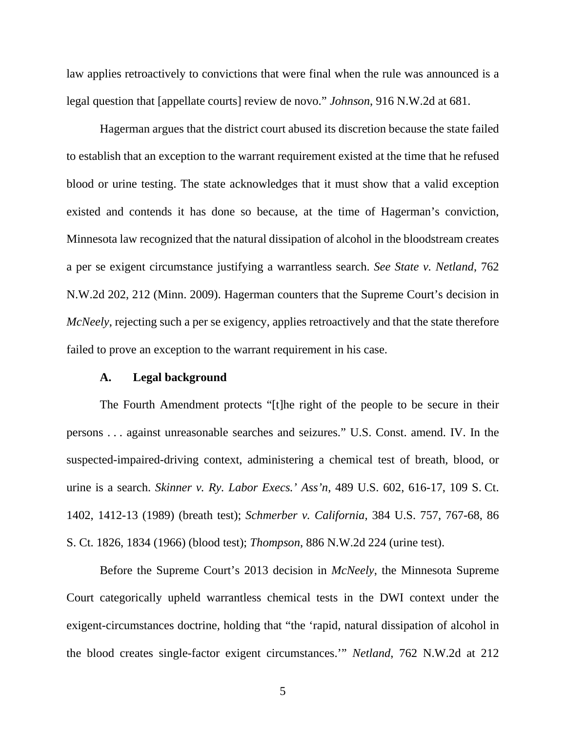law applies retroactively to convictions that were final when the rule was announced is a legal question that [appellate courts] review de novo." *Johnson*, 916 N.W.2d at 681.

 Hagerman argues that the district court abused its discretion because the state failed to establish that an exception to the warrant requirement existed at the time that he refused blood or urine testing. The state acknowledges that it must show that a valid exception existed and contends it has done so because, at the time of Hagerman's conviction, Minnesota law recognized that the natural dissipation of alcohol in the bloodstream creates a per se exigent circumstance justifying a warrantless search. *See State v. Netland*, 762 N.W.2d 202, 212 (Minn. 2009). Hagerman counters that the Supreme Court's decision in *McNeely*, rejecting such a per se exigency, applies retroactively and that the state therefore failed to prove an exception to the warrant requirement in his case.

#### **A. Legal background**

 The Fourth Amendment protects "[t]he right of the people to be secure in their persons . . . against unreasonable searches and seizures." U.S. Const. amend. IV. In the suspected-impaired-driving context, administering a chemical test of breath, blood, or urine is a search. *Skinner v. Ry. Labor Execs.' Ass'n*, 489 U.S. 602, 616-17, 109 S. Ct. 1402, 1412-13 (1989) (breath test); *Schmerber v. California*, 384 U.S. 757, 767-68, 86 S. Ct. 1826, 1834 (1966) (blood test); *Thompson*, 886 N.W.2d 224 (urine test).

 Before the Supreme Court's 2013 decision in *McNeely*, the Minnesota Supreme Court categorically upheld warrantless chemical tests in the DWI context under the exigent-circumstances doctrine, holding that "the 'rapid, natural dissipation of alcohol in the blood creates single-factor exigent circumstances.'" *Netland*, 762 N.W.2d at 212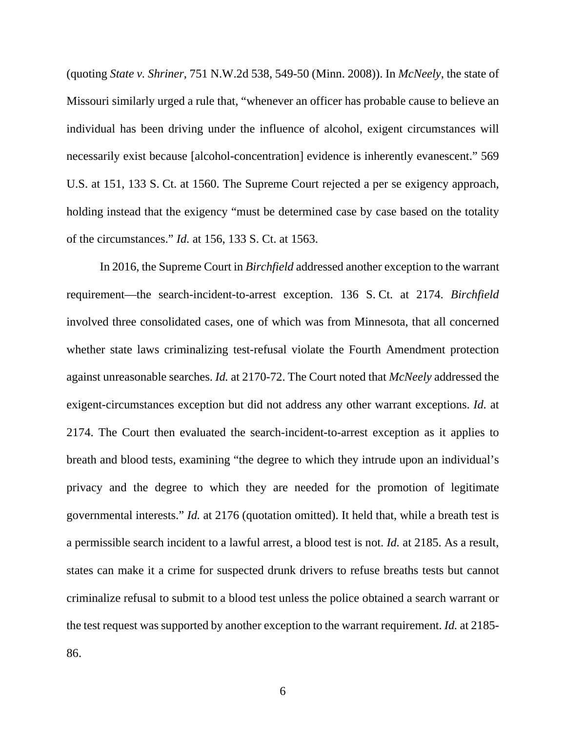(quoting *State v. Shriner*, 751 N.W.2d 538, 549-50 (Minn. 2008)). In *McNeely*, the state of Missouri similarly urged a rule that, "whenever an officer has probable cause to believe an individual has been driving under the influence of alcohol, exigent circumstances will necessarily exist because [alcohol-concentration] evidence is inherently evanescent." 569 U.S. at 151, 133 S. Ct. at 1560. The Supreme Court rejected a per se exigency approach, holding instead that the exigency "must be determined case by case based on the totality of the circumstances." *Id.* at 156, 133 S. Ct. at 1563.

 In 2016, the Supreme Court in *Birchfield* addressed another exception to the warrant requirement—the search-incident-to-arrest exception. 136 S. Ct. at 2174. *Birchfield* involved three consolidated cases, one of which was from Minnesota, that all concerned whether state laws criminalizing test-refusal violate the Fourth Amendment protection against unreasonable searches. *Id.* at 2170-72. The Court noted that *McNeely* addressed the exigent-circumstances exception but did not address any other warrant exceptions. *Id.* at 2174. The Court then evaluated the search-incident-to-arrest exception as it applies to breath and blood tests, examining "the degree to which they intrude upon an individual's privacy and the degree to which they are needed for the promotion of legitimate governmental interests." *Id.* at 2176 (quotation omitted). It held that, while a breath test is a permissible search incident to a lawful arrest, a blood test is not. *Id.* at 2185. As a result, states can make it a crime for suspected drunk drivers to refuse breaths tests but cannot criminalize refusal to submit to a blood test unless the police obtained a search warrant or the test request was supported by another exception to the warrant requirement. *Id.* at 2185-

86.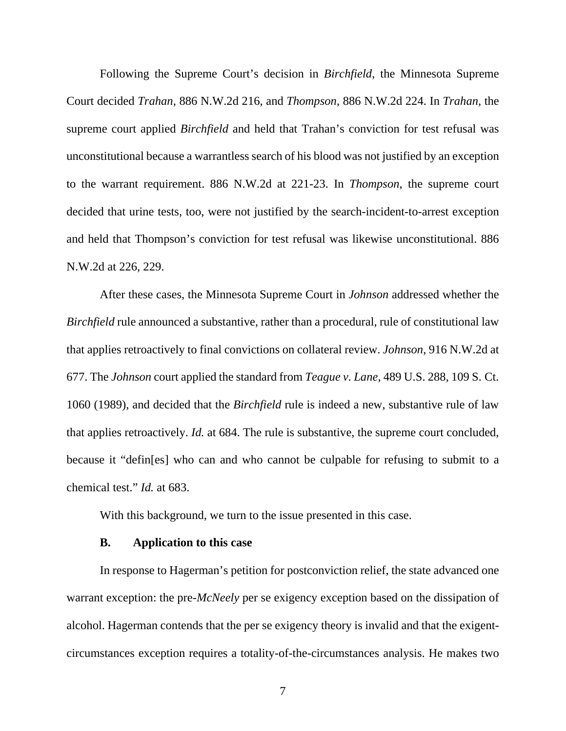Following the Supreme Court's decision in *Birchfield*, the Minnesota Supreme Court decided *Trahan*, 886 N.W.2d 216, and *Thompson*, 886 N.W.2d 224. In *Trahan*, the supreme court applied *Birchfield* and held that Trahan's conviction for test refusal was unconstitutional because a warrantless search of his blood was not justified by an exception to the warrant requirement. 886 N.W.2d at 221-23. In *Thompson*, the supreme court decided that urine tests, too, were not justified by the search-incident-to-arrest exception and held that Thompson's conviction for test refusal was likewise unconstitutional. 886 N.W.2d at 226, 229.

 After these cases, the Minnesota Supreme Court in *Johnson* addressed whether the *Birchfield* rule announced a substantive, rather than a procedural, rule of constitutional law that applies retroactively to final convictions on collateral review. *Johnson*, 916 N.W.2d at 677. The *Johnson* court applied the standard from *Teague v. Lane*, 489 U.S. 288, 109 S. Ct. 1060 (1989), and decided that the *Birchfield* rule is indeed a new, substantive rule of law that applies retroactively. *Id.* at 684. The rule is substantive, the supreme court concluded, because it "defin[es] who can and who cannot be culpable for refusing to submit to a chemical test." *Id.* at 683.

With this background, we turn to the issue presented in this case.

#### **B. Application to this case**

 In response to Hagerman's petition for postconviction relief, the state advanced one warrant exception: the pre-*McNeely* per se exigency exception based on the dissipation of alcohol. Hagerman contends that the per se exigency theory is invalid and that the exigentcircumstances exception requires a totality-of-the-circumstances analysis. He makes two

7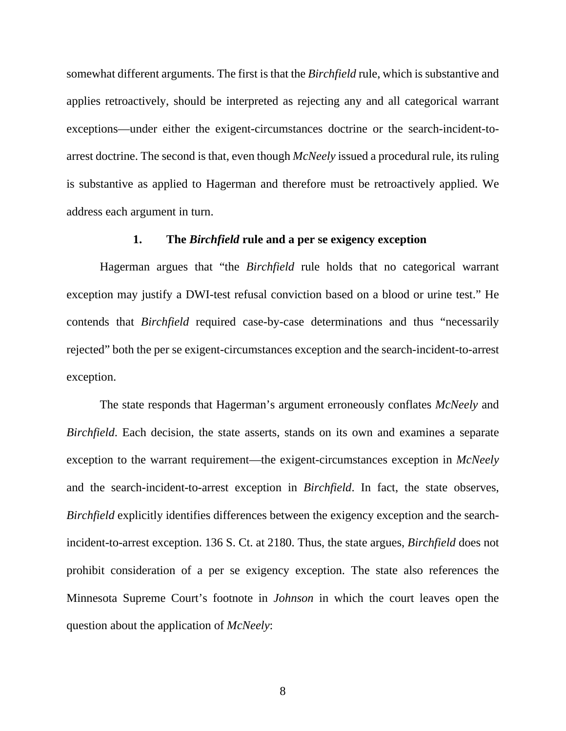somewhat different arguments. The first is that the *Birchfield* rule, which is substantive and applies retroactively, should be interpreted as rejecting any and all categorical warrant exceptions—under either the exigent-circumstances doctrine or the search-incident-toarrest doctrine. The second is that, even though *McNeely* issued a procedural rule, its ruling is substantive as applied to Hagerman and therefore must be retroactively applied. We address each argument in turn.

### **1. The** *Birchfield* **rule and a per se exigency exception**

 Hagerman argues that "the *Birchfield* rule holds that no categorical warrant exception may justify a DWI-test refusal conviction based on a blood or urine test." He contends that *Birchfield* required case-by-case determinations and thus "necessarily rejected" both the per se exigent-circumstances exception and the search-incident-to-arrest exception.

The state responds that Hagerman's argument erroneously conflates *McNeely* and *Birchfield*. Each decision, the state asserts, stands on its own and examines a separate exception to the warrant requirement—the exigent-circumstances exception in *McNeely*  and the search-incident-to-arrest exception in *Birchfield*. In fact, the state observes, *Birchfield* explicitly identifies differences between the exigency exception and the searchincident-to-arrest exception. 136 S. Ct. at 2180. Thus, the state argues, *Birchfield* does not prohibit consideration of a per se exigency exception. The state also references the Minnesota Supreme Court's footnote in *Johnson* in which the court leaves open the question about the application of *McNeely*: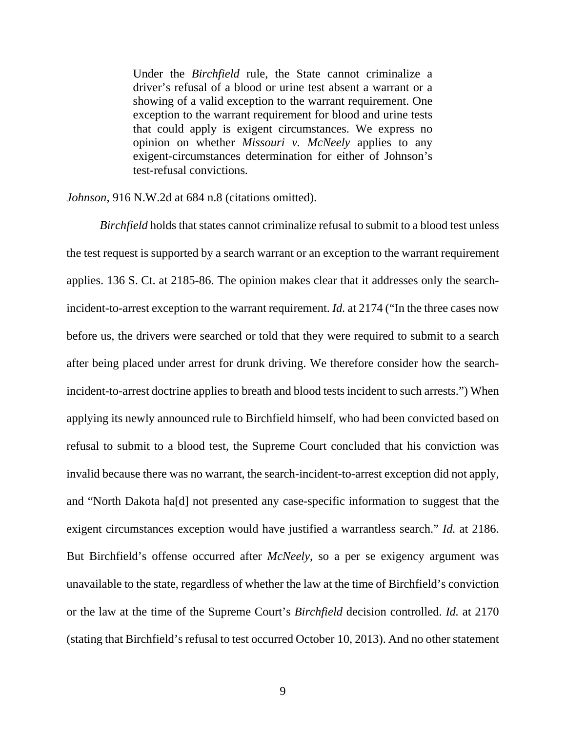Under the *Birchfield* rule, the State cannot criminalize a driver's refusal of a blood or urine test absent a warrant or a showing of a valid exception to the warrant requirement. One exception to the warrant requirement for blood and urine tests that could apply is exigent circumstances. We express no opinion on whether *Missouri v. McNeely* applies to any exigent-circumstances determination for either of Johnson's test-refusal convictions.

*Johnson*, 916 N.W.2d at 684 n.8 (citations omitted).

*Birchfield* holds that states cannot criminalize refusal to submit to a blood test unless the test request is supported by a search warrant or an exception to the warrant requirement applies. 136 S. Ct. at 2185-86. The opinion makes clear that it addresses only the searchincident-to-arrest exception to the warrant requirement. *Id.* at 2174 ("In the three cases now before us, the drivers were searched or told that they were required to submit to a search after being placed under arrest for drunk driving. We therefore consider how the searchincident-to-arrest doctrine applies to breath and blood tests incident to such arrests.") When applying its newly announced rule to Birchfield himself, who had been convicted based on refusal to submit to a blood test, the Supreme Court concluded that his conviction was invalid because there was no warrant, the search-incident-to-arrest exception did not apply, and "North Dakota ha[d] not presented any case-specific information to suggest that the exigent circumstances exception would have justified a warrantless search." *Id.* at 2186. But Birchfield's offense occurred after *McNeely*, so a per se exigency argument was unavailable to the state, regardless of whether the law at the time of Birchfield's conviction or the law at the time of the Supreme Court's *Birchfield* decision controlled. *Id.* at 2170 (stating that Birchfield's refusal to test occurred October 10, 2013). And no other statement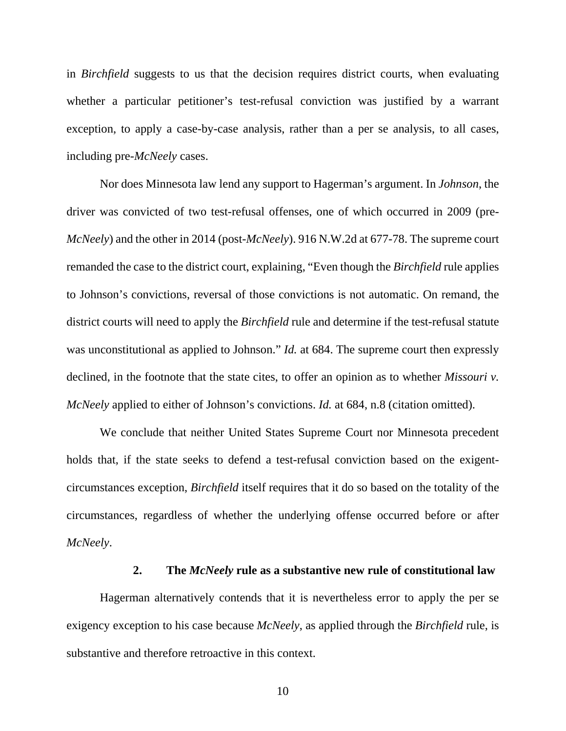in *Birchfield* suggests to us that the decision requires district courts, when evaluating whether a particular petitioner's test-refusal conviction was justified by a warrant exception, to apply a case-by-case analysis, rather than a per se analysis, to all cases, including pre-*McNeely* cases.

 Nor does Minnesota law lend any support to Hagerman's argument. In *Johnson*, the driver was convicted of two test-refusal offenses, one of which occurred in 2009 (pre-*McNeely*) and the other in 2014 (post-*McNeely*). 916 N.W.2d at 677-78. The supreme court remanded the case to the district court, explaining, "Even though the *Birchfield* rule applies to Johnson's convictions, reversal of those convictions is not automatic. On remand, the district courts will need to apply the *Birchfield* rule and determine if the test-refusal statute was unconstitutional as applied to Johnson." *Id.* at 684. The supreme court then expressly declined, in the footnote that the state cites, to offer an opinion as to whether *Missouri v. McNeely* applied to either of Johnson's convictions. *Id.* at 684, n.8 (citation omitted).

 We conclude that neither United States Supreme Court nor Minnesota precedent holds that, if the state seeks to defend a test-refusal conviction based on the exigentcircumstances exception, *Birchfield* itself requires that it do so based on the totality of the circumstances, regardless of whether the underlying offense occurred before or after *McNeely*.

### **2. The** *McNeely* **rule as a substantive new rule of constitutional law**

 Hagerman alternatively contends that it is nevertheless error to apply the per se exigency exception to his case because *McNeely*, as applied through the *Birchfield* rule, is substantive and therefore retroactive in this context.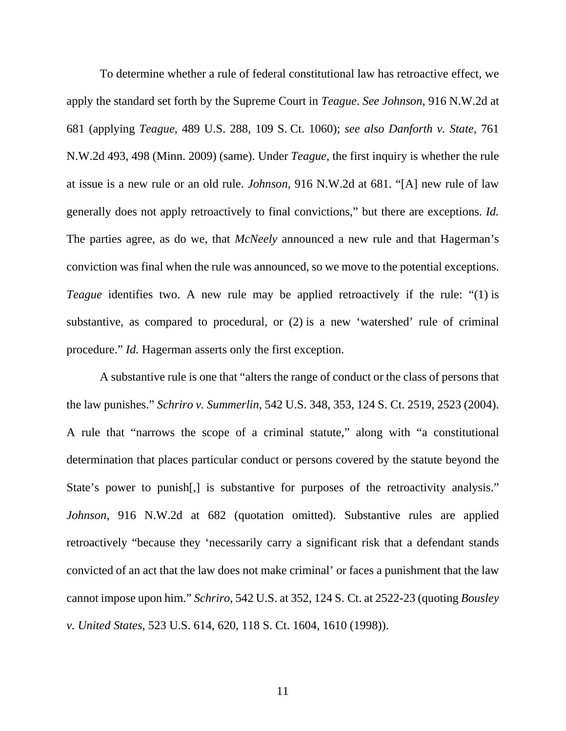To determine whether a rule of federal constitutional law has retroactive effect, we apply the standard set forth by the Supreme Court in *Teague*. *See Johnson*, 916 N.W.2d at 681 (applying *Teague*, 489 U.S. 288, 109 S. Ct. 1060); *see also Danforth v. State*, 761 N.W.2d 493, 498 (Minn. 2009) (same). Under *Teague*, the first inquiry is whether the rule at issue is a new rule or an old rule. *Johnson*, 916 N.W.2d at 681. "[A] new rule of law generally does not apply retroactively to final convictions," but there are exceptions. *Id.* The parties agree, as do we, that *McNeely* announced a new rule and that Hagerman's conviction was final when the rule was announced, so we move to the potential exceptions. *Teague* identifies two. A new rule may be applied retroactively if the rule: "(1) is substantive, as compared to procedural, or (2) is a new 'watershed' rule of criminal procedure." *Id.* Hagerman asserts only the first exception.

 A substantive rule is one that "alters the range of conduct or the class of persons that the law punishes." *Schriro v. Summerlin*, 542 U.S. 348, 353, 124 S. Ct. 2519, 2523 (2004). A rule that "narrows the scope of a criminal statute," along with "a constitutional determination that places particular conduct or persons covered by the statute beyond the State's power to punish, is substantive for purposes of the retroactivity analysis." *Johnson*, 916 N.W.2d at 682 (quotation omitted). Substantive rules are applied retroactively "because they 'necessarily carry a significant risk that a defendant stands convicted of an act that the law does not make criminal' or faces a punishment that the law cannot impose upon him." *Schriro*, 542 U.S. at 352, 124 S. Ct. at 2522-23 (quoting *Bousley v. United States*, 523 U.S. 614, 620, 118 S. Ct. 1604, 1610 (1998)).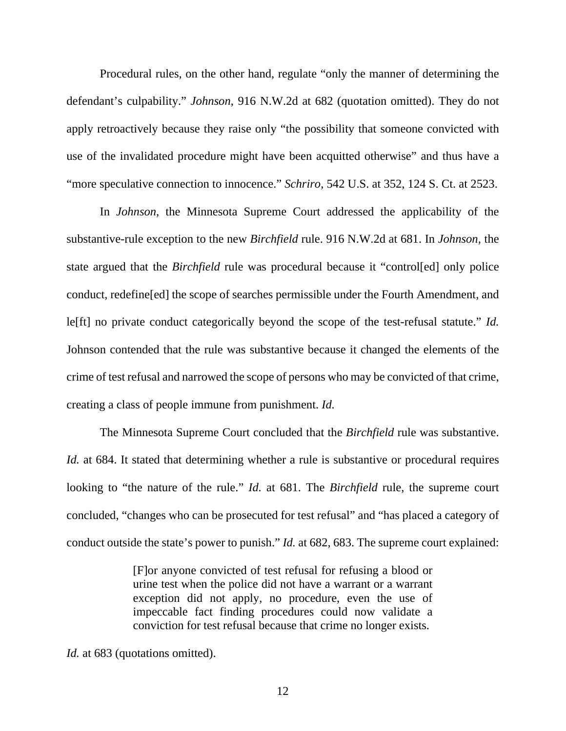Procedural rules, on the other hand, regulate "only the manner of determining the defendant's culpability." *Johnson*, 916 N.W.2d at 682 (quotation omitted). They do not apply retroactively because they raise only "the possibility that someone convicted with use of the invalidated procedure might have been acquitted otherwise" and thus have a "more speculative connection to innocence." *Schriro*, 542 U.S. at 352, 124 S. Ct. at 2523.

 In *Johnson*, the Minnesota Supreme Court addressed the applicability of the substantive-rule exception to the new *Birchfield* rule. 916 N.W.2d at 681. In *Johnson*, the state argued that the *Birchfield* rule was procedural because it "control[ed] only police conduct, redefine[ed] the scope of searches permissible under the Fourth Amendment, and le[ft] no private conduct categorically beyond the scope of the test-refusal statute." *Id.* Johnson contended that the rule was substantive because it changed the elements of the crime of test refusal and narrowed the scope of persons who may be convicted of that crime, creating a class of people immune from punishment. *Id.*

 The Minnesota Supreme Court concluded that the *Birchfield* rule was substantive. *Id.* at 684. It stated that determining whether a rule is substantive or procedural requires looking to "the nature of the rule." *Id.* at 681. The *Birchfield* rule, the supreme court concluded, "changes who can be prosecuted for test refusal" and "has placed a category of conduct outside the state's power to punish." *Id.* at 682, 683. The supreme court explained:

> [F]or anyone convicted of test refusal for refusing a blood or urine test when the police did not have a warrant or a warrant exception did not apply, no procedure, even the use of impeccable fact finding procedures could now validate a conviction for test refusal because that crime no longer exists.

*Id.* at 683 (quotations omitted).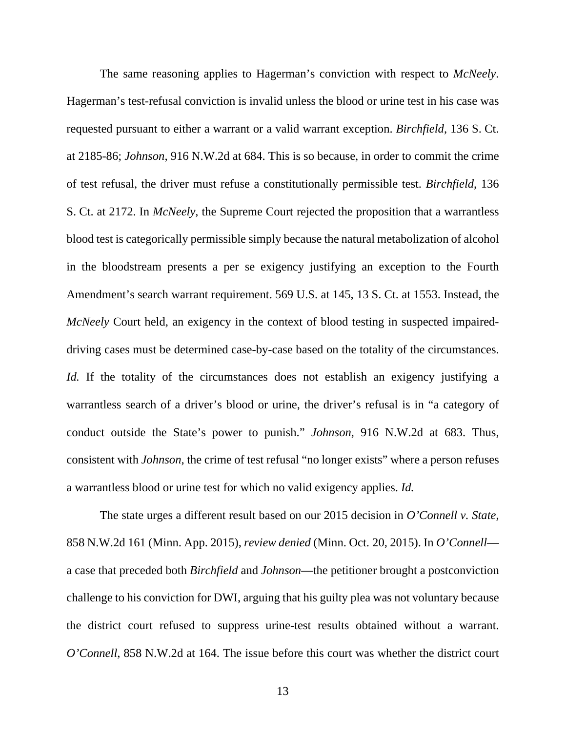The same reasoning applies to Hagerman's conviction with respect to *McNeely*. Hagerman's test-refusal conviction is invalid unless the blood or urine test in his case was requested pursuant to either a warrant or a valid warrant exception. *Birchfield*, 136 S. Ct. at 2185-86; *Johnson*, 916 N.W.2d at 684. This is so because, in order to commit the crime of test refusal, the driver must refuse a constitutionally permissible test. *Birchfield*, 136 S. Ct. at 2172. In *McNeely*, the Supreme Court rejected the proposition that a warrantless blood test is categorically permissible simply because the natural metabolization of alcohol in the bloodstream presents a per se exigency justifying an exception to the Fourth Amendment's search warrant requirement. 569 U.S. at 145, 13 S. Ct. at 1553. Instead, the *McNeely* Court held, an exigency in the context of blood testing in suspected impaireddriving cases must be determined case-by-case based on the totality of the circumstances. *Id.* If the totality of the circumstances does not establish an exigency justifying a warrantless search of a driver's blood or urine, the driver's refusal is in "a category of conduct outside the State's power to punish." *Johnson*, 916 N.W.2d at 683. Thus, consistent with *Johnson*, the crime of test refusal "no longer exists" where a person refuses a warrantless blood or urine test for which no valid exigency applies. *Id.*

 The state urges a different result based on our 2015 decision in *O'Connell v. State*, 858 N.W.2d 161 (Minn. App. 2015), *review denied* (Minn. Oct. 20, 2015). In *O'Connell* a case that preceded both *Birchfield* and *Johnson*—the petitioner brought a postconviction challenge to his conviction for DWI, arguing that his guilty plea was not voluntary because the district court refused to suppress urine-test results obtained without a warrant. *O'Connell*, 858 N.W.2d at 164. The issue before this court was whether the district court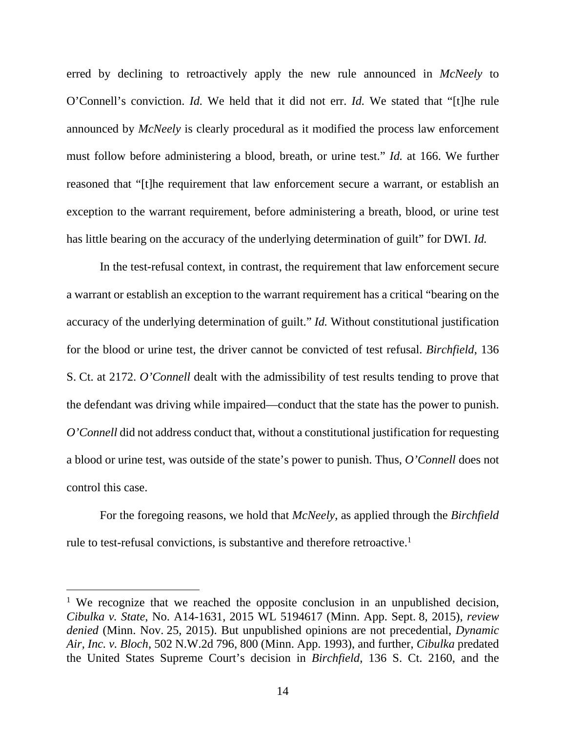erred by declining to retroactively apply the new rule announced in *McNeely* to O'Connell's conviction. *Id.* We held that it did not err. *Id.* We stated that "[t]he rule announced by *McNeely* is clearly procedural as it modified the process law enforcement must follow before administering a blood, breath, or urine test." *Id.* at 166. We further reasoned that "[t]he requirement that law enforcement secure a warrant, or establish an exception to the warrant requirement, before administering a breath, blood, or urine test has little bearing on the accuracy of the underlying determination of guilt" for DWI. *Id.*

In the test-refusal context, in contrast, the requirement that law enforcement secure a warrant or establish an exception to the warrant requirement has a critical "bearing on the accuracy of the underlying determination of guilt." *Id.* Without constitutional justification for the blood or urine test, the driver cannot be convicted of test refusal. *Birchfield*, 136 S. Ct. at 2172. *O'Connell* dealt with the admissibility of test results tending to prove that the defendant was driving while impaired—conduct that the state has the power to punish. *O'Connell* did not address conduct that, without a constitutional justification for requesting a blood or urine test, was outside of the state's power to punish. Thus, *O'Connell* does not control this case.

For the foregoing reasons, we hold that *McNeely*, as applied through the *Birchfield* rule to test-refusal convictions, is substantive and therefore retroactive.<sup>1</sup>

 $\overline{a}$ 

<sup>&</sup>lt;sup>1</sup> We recognize that we reached the opposite conclusion in an unpublished decision, *Cibulka v. State*, No. A14-1631, 2015 WL 5194617 (Minn. App. Sept. 8, 2015), *review denied* (Minn. Nov. 25, 2015). But unpublished opinions are not precedential, *Dynamic Air, Inc. v. Bloch*, 502 N.W.2d 796, 800 (Minn. App. 1993), and further, *Cibulka* predated the United States Supreme Court's decision in *Birchfield*, 136 S. Ct. 2160, and the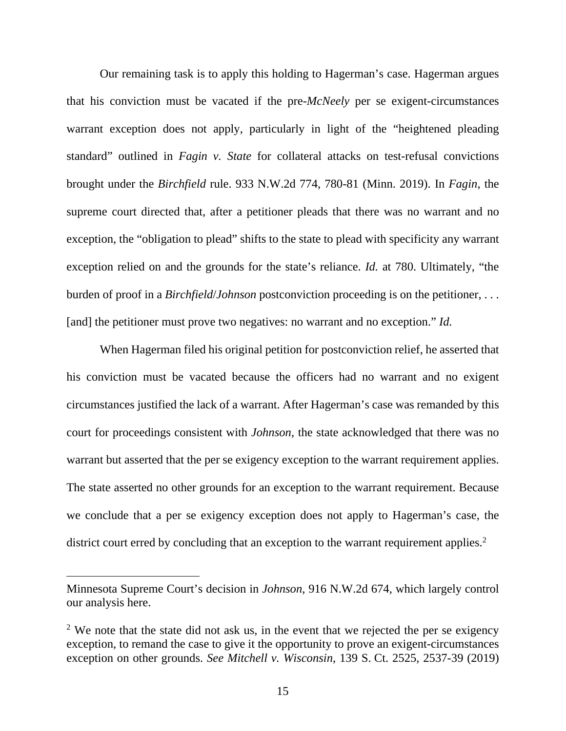Our remaining task is to apply this holding to Hagerman's case. Hagerman argues that his conviction must be vacated if the pre-*McNeely* per se exigent-circumstances warrant exception does not apply, particularly in light of the "heightened pleading standard" outlined in *Fagin v. State* for collateral attacks on test-refusal convictions brought under the *Birchfield* rule. 933 N.W.2d 774, 780-81 (Minn. 2019). In *Fagin*, the supreme court directed that, after a petitioner pleads that there was no warrant and no exception, the "obligation to plead" shifts to the state to plead with specificity any warrant exception relied on and the grounds for the state's reliance. *Id.* at 780. Ultimately, "the burden of proof in a *Birchfield*/*Johnson* postconviction proceeding is on the petitioner, . . . [and] the petitioner must prove two negatives: no warrant and no exception." *Id.*

 When Hagerman filed his original petition for postconviction relief, he asserted that his conviction must be vacated because the officers had no warrant and no exigent circumstances justified the lack of a warrant. After Hagerman's case was remanded by this court for proceedings consistent with *Johnson*, the state acknowledged that there was no warrant but asserted that the per se exigency exception to the warrant requirement applies. The state asserted no other grounds for an exception to the warrant requirement. Because we conclude that a per se exigency exception does not apply to Hagerman's case, the district court erred by concluding that an exception to the warrant requirement applies.<sup>2</sup>

 $\overline{a}$ 

Minnesota Supreme Court's decision in *Johnson*, 916 N.W.2d 674, which largely control our analysis here.

<sup>&</sup>lt;sup>2</sup> We note that the state did not ask us, in the event that we rejected the per se exigency exception, to remand the case to give it the opportunity to prove an exigent-circumstances exception on other grounds. *See Mitchell v. Wisconsin*, 139 S. Ct. 2525, 2537-39 (2019)